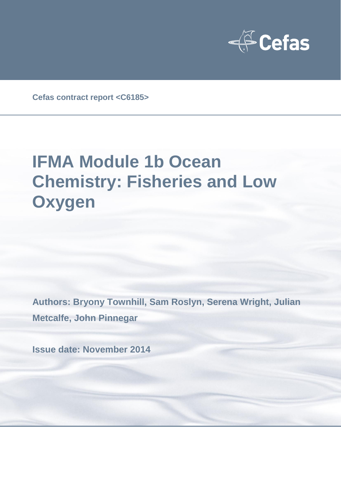

**Cefas contract report <C6185>**

# **IFMA Module 1b Ocean Chemistry: Fisheries and Low Oxygen**

**Authors: Bryony Townhill, Sam Roslyn, Serena Wright, Julian Metcalfe, John Pinnegar**

**Issue date: November 2014**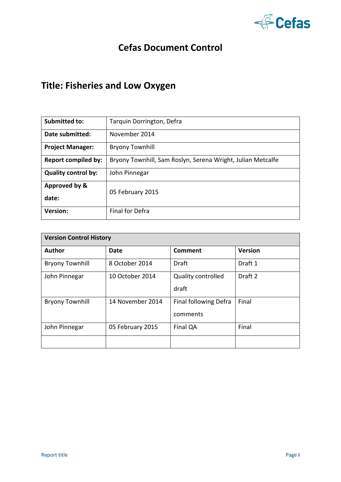

### **Cefas Document Control**

# **Title: Fisheries and Low Oxygen**

| <b>Submitted to:</b>       | Tarquin Dorrington, Defra                                   |
|----------------------------|-------------------------------------------------------------|
| Date submitted:            | November 2014                                               |
| <b>Project Manager:</b>    | <b>Bryony Townhill</b>                                      |
| <b>Report compiled by:</b> | Bryony Townhill, Sam Roslyn, Serena Wright, Julian Metcalfe |
| <b>Quality control by:</b> | John Pinnegar                                               |
| Approved by &              | 05 February 2015                                            |
| date:                      |                                                             |
| <b>Version:</b>            | <b>Final for Defra</b>                                      |

| <b>Version Control History</b> |                  |                              |                    |  |  |  |  |  |
|--------------------------------|------------------|------------------------------|--------------------|--|--|--|--|--|
| <b>Author</b>                  | <b>Date</b>      | Comment                      | <b>Version</b>     |  |  |  |  |  |
| <b>Bryony Townhill</b>         | 8 October 2014   | Draft                        | Draft 1            |  |  |  |  |  |
| John Pinnegar                  | 10 October 2014  | <b>Quality controlled</b>    | Draft <sub>2</sub> |  |  |  |  |  |
|                                |                  | draft                        |                    |  |  |  |  |  |
| <b>Bryony Townhill</b>         | 14 November 2014 | <b>Final following Defra</b> | Final              |  |  |  |  |  |
|                                |                  | comments                     |                    |  |  |  |  |  |
| John Pinnegar                  | 05 February 2015 | Final QA                     | Final              |  |  |  |  |  |
|                                |                  |                              |                    |  |  |  |  |  |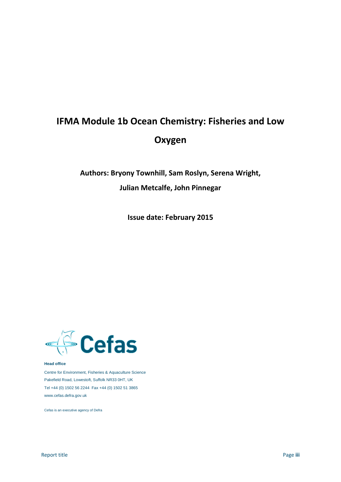# **IFMA Module 1b Ocean Chemistry: Fisheries and Low Oxygen**

# **Authors: Bryony Townhill, Sam Roslyn, Serena Wright, Julian Metcalfe, John Pinnegar**

**Issue date: February 2015**



#### **Head office**

Centre for Environment, Fisheries & Aquaculture Science Pakefield Road, Lowestoft, Suffolk NR33 0HT, UK Tel +44 (0) 1502 56 2244 Fax +44 (0) 1502 51 3865 www.cefas.defra.gov.uk

Cefas is an executive agency of Defra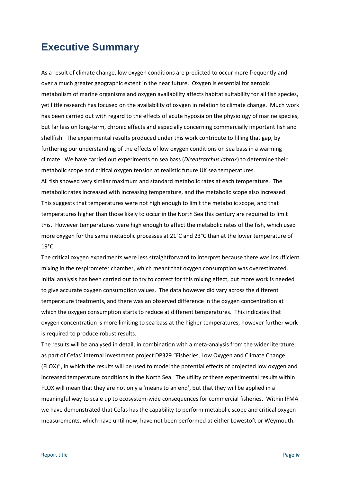### **Executive Summary**

As a result of climate change, low oxygen conditions are predicted to occur more frequently and over a much greater geographic extent in the near future. Oxygen is essential for aerobic metabolism of marine organisms and oxygen availability affects habitat suitability for all fish species, yet little research has focused on the availability of oxygen in relation to climate change. Much work has been carried out with regard to the effects of acute hypoxia on the physiology of marine species, but far less on long-term, chronic effects and especially concerning commercially important fish and shellfish. The experimental results produced under this work contribute to filling that gap, by furthering our understanding of the effects of low oxygen conditions on sea bass in a warming climate. We have carried out experiments on sea bass (*Dicentrarchus labrax*) to determine their metabolic scope and critical oxygen tension at realistic future UK sea temperatures. All fish showed very similar maximum and standard metabolic rates at each temperature. The metabolic rates increased with increasing temperature, and the metabolic scope also increased. This suggests that temperatures were not high enough to limit the metabolic scope, and that temperatures higher than those likely to occur in the North Sea this century are required to limit this. However temperatures were high enough to affect the metabolic rates of the fish, which used more oxygen for the same metabolic processes at 21°C and 23°C than at the lower temperature of 19°C.

The critical oxygen experiments were less straightforward to interpret because there was insufficient mixing in the respirometer chamber, which meant that oxygen consumption was overestimated. Initial analysis has been carried out to try to correct for this mixing effect, but more work is needed to give accurate oxygen consumption values. The data however did vary across the different temperature treatments, and there was an observed difference in the oxygen concentration at which the oxygen consumption starts to reduce at different temperatures. This indicates that oxygen concentration is more limiting to sea bass at the higher temperatures, however further work is required to produce robust results.

The results will be analysed in detail, in combination with a meta-analysis from the wider literature, as part of Cefas' internal investment project DP329 "Fisheries, Low Oxygen and Climate Change (FLOX)", in which the results will be used to model the potential effects of projected low oxygen and increased temperature conditions in the North Sea. The utility of these experimental results within FLOX will mean that they are not only a 'means to an end', but that they will be applied in a meaningful way to scale up to ecosystem-wide consequences for commercial fisheries. Within IFMA we have demonstrated that Cefas has the capability to perform metabolic scope and critical oxygen measurements, which have until now, have not been performed at either Lowestoft or Weymouth.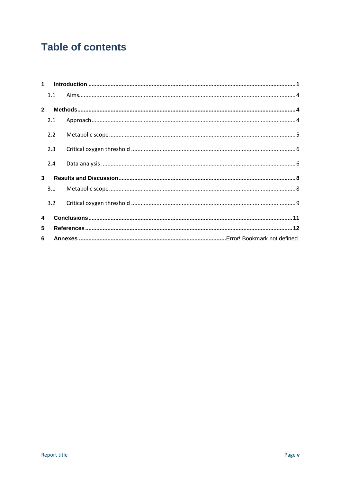# **Table of contents**

|              | 1.1 |  |  |
|--------------|-----|--|--|
| $\mathbf{2}$ |     |  |  |
|              | 2.1 |  |  |
|              | 2.2 |  |  |
|              | 2.3 |  |  |
|              | 2.4 |  |  |
| $\mathbf{3}$ |     |  |  |
|              | 3.1 |  |  |
|              | 3.2 |  |  |
| 4            |     |  |  |
| 5            |     |  |  |
| 6            |     |  |  |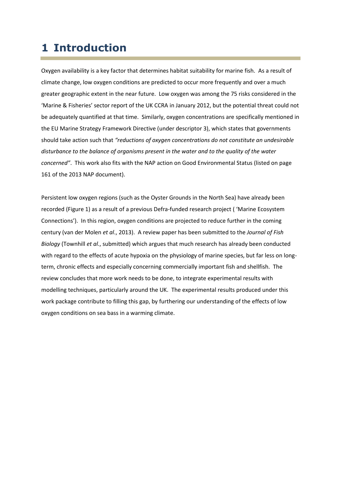# **1 Introduction**

Oxygen availability is a key factor that determines habitat suitability for marine fish. As a result of climate change, low oxygen conditions are predicted to occur more frequently and over a much greater geographic extent in the near future. Low oxygen was among the 75 risks considered in the 'Marine & Fisheries' sector report of the UK CCRA in January 2012, but the potential threat could not be adequately quantified at that time. Similarly, oxygen concentrations are specifically mentioned in the EU Marine Strategy Framework Directive (under descriptor 3), which states that governments should take action such that *"reductions of oxygen concentrations do not constitute an undesirable disturbance to the balance of organisms present in the water and to the quality of the water concerned"*. This work also fits with the NAP action on Good Environmental Status (listed on page 161 of the 2013 NAP document).

Persistent low oxygen regions (such as the Oyster Grounds in the North Sea) have already been recorded (Figure 1) as a result of a previous Defra-funded research project ( 'Marine Ecosystem Connections'). In this region, oxygen conditions are projected to reduce further in the coming century (van der Molen *et al*., 2013). A review paper has been submitted to the *Journal of Fish Biology* (Townhill *et al*., submitted) which argues that much research has already been conducted with regard to the effects of acute hypoxia on the physiology of marine species, but far less on longterm, chronic effects and especially concerning commercially important fish and shellfish. The review concludes that more work needs to be done, to integrate experimental results with modelling techniques, particularly around the UK. The experimental results produced under this work package contribute to filling this gap, by furthering our understanding of the effects of low oxygen conditions on sea bass in a warming climate.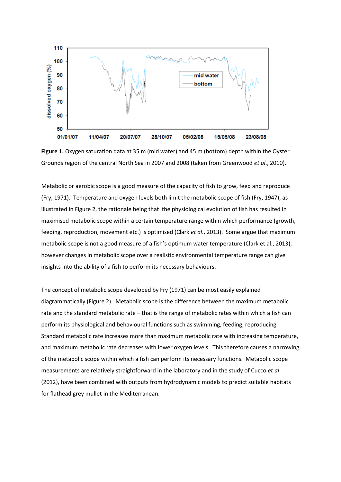

**Figure 1.** Oxygen saturation data at 35 m (mid water) and 45 m (bottom) depth within the Oyster Grounds region of the central North Sea in 2007 and 2008 (taken from Greenwood *et al*., 2010).

Metabolic or aerobic scope is a good measure of the capacity of fish to grow, feed and reproduce (Fry, 1971). Temperature and oxygen levels both limit the metabolic scope of fish (Fry, 1947), as illustrated in Figure 2, the rationale being that the physiological evolution of fish has resulted in maximised metabolic scope within a certain temperature range within which performance (growth, feeding, reproduction, movement etc.) is optimised (Clark *et al*., 2013). Some argue that maximum metabolic scope is not a good measure of a fish's optimum water temperature (Clark et al., 2013), however changes in metabolic scope over a realistic environmental temperature range can give insights into the ability of a fish to perform its necessary behaviours.

The concept of metabolic scope developed by Fry (1971) can be most easily explained diagrammatically (Figure 2). Metabolic scope is the difference between the maximum metabolic rate and the standard metabolic rate – that is the range of metabolic rates within which a fish can perform its physiological and behavioural functions such as swimming, feeding, reproducing. Standard metabolic rate increases more than maximum metabolic rate with increasing temperature, and maximum metabolic rate decreases with lower oxygen levels. This therefore causes a narrowing of the metabolic scope within which a fish can perform its necessary functions. Metabolic scope measurements are relatively straightforward in the laboratory and in the study of Cucco *et al*. (2012), have been combined with outputs from hydrodynamic models to predict suitable habitats for flathead grey mullet in the Mediterranean.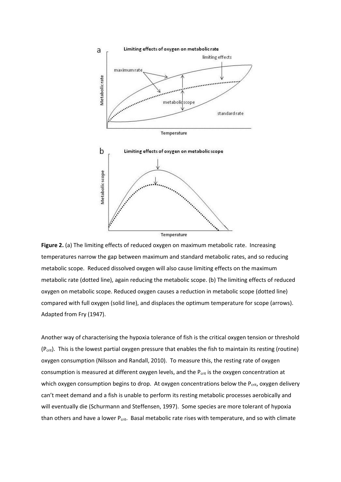



Another way of characterising the hypoxia tolerance of fish is the critical oxygen tension or threshold (Pcrit). This is the lowest partial oxygen pressure that enables the fish to maintain its resting (routine) oxygen consumption (Nilsson and Randall, 2010). To measure this, the resting rate of oxygen consumption is measured at different oxygen levels, and the  $P_{crit}$  is the oxygen concentration at which oxygen consumption begins to drop. At oxygen concentrations below the  $P_{crit}$ , oxygen delivery can't meet demand and a fish is unable to perform its resting metabolic processes aerobically and will eventually die (Schurmann and Steffensen, 1997). Some species are more tolerant of hypoxia than others and have a lower  $P_{\text{crit}}$ . Basal metabolic rate rises with temperature, and so with climate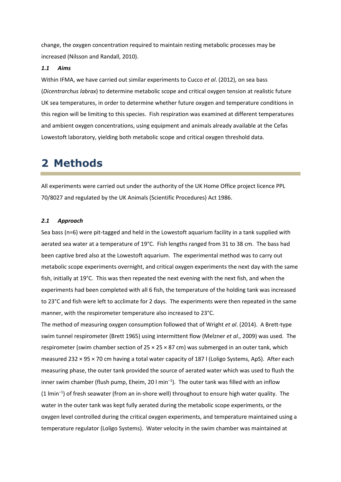change, the oxygen concentration required to maintain resting metabolic processes may be increased (Nilsson and Randall, 2010).

#### *1.1 Aims*

Within IFMA, we have carried out similar experiments to Cucco *et al*. (2012), on sea bass (*Dicentrarchus labrax*) to determine metabolic scope and critical oxygen tension at realistic future UK sea temperatures, in order to determine whether future oxygen and temperature conditions in this region will be limiting to this species. Fish respiration was examined at different temperatures and ambient oxygen concentrations, using equipment and animals already available at the Cefas Lowestoft laboratory, yielding both metabolic scope and critical oxygen threshold data.

# **2 Methods**

All experiments were carried out under the authority of the UK Home Office project licence PPL 70/8027 and regulated by the UK Animals (Scientific Procedures) Act 1986.

#### *2.1 Approach*

Sea bass (n=6) were pit-tagged and held in the Lowestoft aquarium facility in a tank supplied with aerated sea water at a temperature of 19°C. Fish lengths ranged from 31 to 38 cm. The bass had been captive bred also at the Lowestoft aquarium. The experimental method was to carry out metabolic scope experiments overnight, and critical oxygen experiments the next day with the same fish, initially at 19°C. This was then repeated the next evening with the next fish, and when the experiments had been completed with all 6 fish, the temperature of the holding tank was increased to 23°C and fish were left to acclimate for 2 days. The experiments were then repeated in the same manner, with the respirometer temperature also increased to 23°C.

The method of measuring oxygen consumption followed that of Wright *et al*. (2014). A Brett-type swim tunnel respirometer (Brett 1965) using intermittent flow (Melzner *et al*., 2009) was used. The respirometer (swim chamber section of  $25 \times 25 \times 87$  cm) was submerged in an outer tank, which measured 232 × 95 × 70 cm having a total water capacity of 187 l (Loligo Systems, ApS). After each measuring phase, the outer tank provided the source of aerated water which was used to flush the inner swim chamber (flush pump, Eheim, 20 l min<sup>−</sup><sup>1</sup> ). The outer tank was filled with an inflow (1 lmin<sup>−</sup><sup>1</sup> ) of fresh seawater (from an in-shore well) throughout to ensure high water quality. The water in the outer tank was kept fully aerated during the metabolic scope experiments, or the oxygen level controlled during the critical oxygen experiments, and temperature maintained using a temperature regulator (Loligo Systems). Water velocity in the swim chamber was maintained at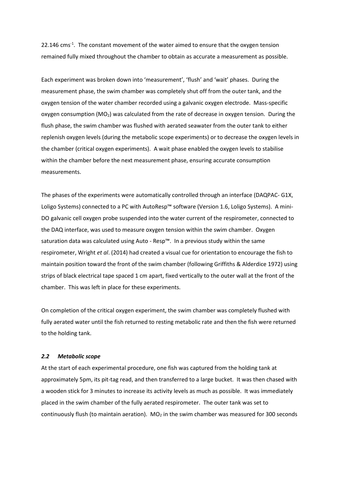$22.146$  cms<sup>-1</sup>. The constant movement of the water aimed to ensure that the oxygen tension remained fully mixed throughout the chamber to obtain as accurate a measurement as possible.

Each experiment was broken down into 'measurement', 'flush' and 'wait' phases. During the measurement phase, the swim chamber was completely shut off from the outer tank, and the oxygen tension of the water chamber recorded using a galvanic oxygen electrode. Mass-specific oxygen consumption  $(MO_2)$  was calculated from the rate of decrease in oxygen tension. During the flush phase, the swim chamber was flushed with aerated seawater from the outer tank to either replenish oxygen levels (during the metabolic scope experiments) or to decrease the oxygen levels in the chamber (critical oxygen experiments). A wait phase enabled the oxygen levels to stabilise within the chamber before the next measurement phase, ensuring accurate consumption measurements.

The phases of the experiments were automatically controlled through an interface (DAQPAC- G1X, Loligo Systems) connected to a PC with AutoResp™ software (Version 1.6, Loligo Systems). A mini-DO galvanic cell oxygen probe suspended into the water current of the respirometer, connected to the DAQ interface, was used to measure oxygen tension within the swim chamber. Oxygen saturation data was calculated using Auto - Resp™. In a previous study within the same respirometer, Wright *et al*. (2014) had created a visual cue for orientation to encourage the fish to maintain position toward the front of the swim chamber (following Griffiths & Alderdice 1972) using strips of black electrical tape spaced 1 cm apart, fixed vertically to the outer wall at the front of the chamber. This was left in place for these experiments.

On completion of the critical oxygen experiment, the swim chamber was completely flushed with fully aerated water until the fish returned to resting metabolic rate and then the fish were returned to the holding tank.

#### *2.2 Metabolic scope*

At the start of each experimental procedure, one fish was captured from the holding tank at approximately 5pm, its pit-tag read, and then transferred to a large bucket. It was then chased with a wooden stick for 3 minutes to increase its activity levels as much as possible. It was immediately placed in the swim chamber of the fully aerated respirometer. The outer tank was set to continuously flush (to maintain aeration).  $MO<sub>2</sub>$  in the swim chamber was measured for 300 seconds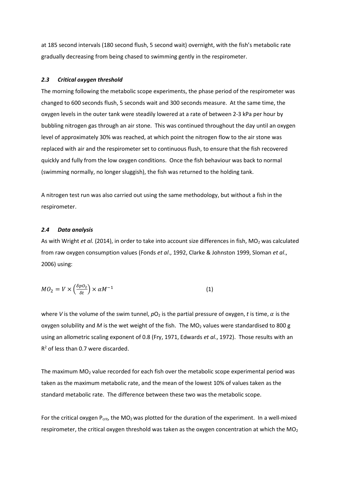at 185 second intervals (180 second flush, 5 second wait) overnight, with the fish's metabolic rate gradually decreasing from being chased to swimming gently in the respirometer.

#### *2.3 Critical oxygen threshold*

The morning following the metabolic scope experiments, the phase period of the respirometer was changed to 600 seconds flush, 5 seconds wait and 300 seconds measure. At the same time, the oxygen levels in the outer tank were steadily lowered at a rate of between 2-3 kPa per hour by bubbling nitrogen gas through an air stone. This was continued throughout the day until an oxygen level of approximately 30% was reached, at which point the nitrogen flow to the air stone was replaced with air and the respirometer set to continuous flush, to ensure that the fish recovered quickly and fully from the low oxygen conditions. Once the fish behaviour was back to normal (swimming normally, no longer sluggish), the fish was returned to the holding tank.

A nitrogen test run was also carried out using the same methodology, but without a fish in the respirometer.

#### *2.4 Data analysis*

As with Wright *et al.* (2014), in order to take into account size differences in fish, MO<sub>2</sub> was calculated from raw oxygen consumption values (Fonds *et al*., 1992, Clarke & Johnston 1999, Sloman *et al*., 2006) using:

$$
MO_2 = V \times \left(\frac{\delta p O_2}{\delta t}\right) \times \alpha M^{-1}
$$
\n(1)

where *V* is the volume of the swim tunnel,  $pO_2$  is the partial pressure of oxygen, *t* is time,  $\alpha$  is the oxygen solubility and *M* is the wet weight of the fish. The MO<sub>2</sub> values were standardised to 800 g using an allometric scaling exponent of 0.8 (Fry, 1971, Edwards *et al*., 1972). Those results with an  $R<sup>2</sup>$  of less than 0.7 were discarded.

The maximum  $MO<sub>2</sub>$  value recorded for each fish over the metabolic scope experimental period was taken as the maximum metabolic rate, and the mean of the lowest 10% of values taken as the standard metabolic rate. The difference between these two was the metabolic scope.

For the critical oxygen  $P_{\text{crit}}$ , the MO<sub>2</sub> was plotted for the duration of the experiment. In a well-mixed respirometer, the critical oxygen threshold was taken as the oxygen concentration at which the  $MO<sub>2</sub>$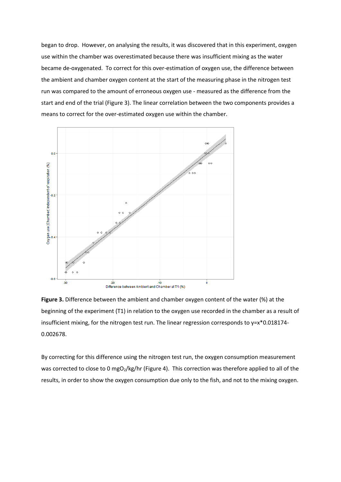began to drop. However, on analysing the results, it was discovered that in this experiment, oxygen use within the chamber was overestimated because there was insufficient mixing as the water became de-oxygenated. To correct for this over-estimation of oxygen use, the difference between the ambient and chamber oxygen content at the start of the measuring phase in the nitrogen test run was compared to the amount of erroneous oxygen use - measured as the difference from the start and end of the trial (Figure 3). The linear correlation between the two components provides a means to correct for the over-estimated oxygen use within the chamber.



**Figure 3.** Difference between the ambient and chamber oxygen content of the water (%) at the beginning of the experiment (T1) in relation to the oxygen use recorded in the chamber as a result of insufficient mixing, for the nitrogen test run. The linear regression corresponds to  $y=x*0.018174-$ 0.002678.

By correcting for this difference using the nitrogen test run, the oxygen consumption measurement was corrected to close to 0 mgO<sub>2</sub>/kg/hr (Figure 4). This correction was therefore applied to all of the results, in order to show the oxygen consumption due only to the fish, and not to the mixing oxygen.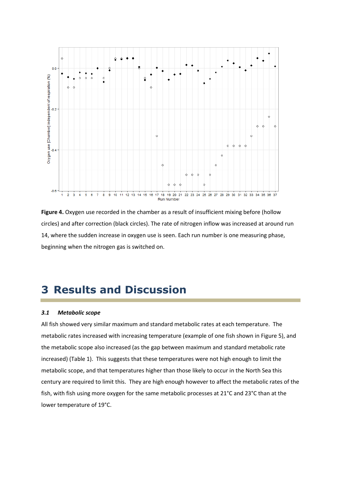

**Figure 4.** Oxygen use recorded in the chamber as a result of insufficient mixing before (hollow circles) and after correction (black circles). The rate of nitrogen inflow was increased at around run 14, where the sudden increase in oxygen use is seen. Each run number is one measuring phase, beginning when the nitrogen gas is switched on.

# **3 Results and Discussion**

#### *3.1 Metabolic scope*

All fish showed very similar maximum and standard metabolic rates at each temperature. The metabolic rates increased with increasing temperature (example of one fish shown in Figure 5), and the metabolic scope also increased (as the gap between maximum and standard metabolic rate increased) (Table 1). This suggests that these temperatures were not high enough to limit the metabolic scope, and that temperatures higher than those likely to occur in the North Sea this century are required to limit this. They are high enough however to affect the metabolic rates of the fish, with fish using more oxygen for the same metabolic processes at 21°C and 23°C than at the lower temperature of 19°C.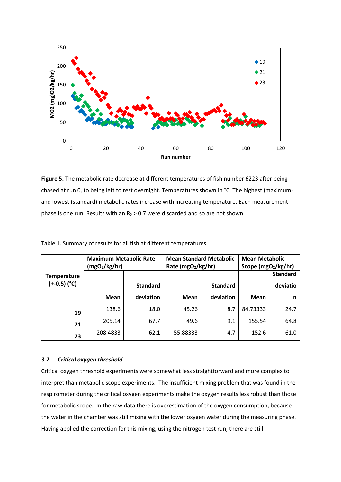

**Figure 5.** The metabolic rate decrease at different temperatures of fish number 6223 after being chased at run 0, to being left to rest overnight. Temperatures shown in °C. The highest (maximum) and lowest (standard) metabolic rates increase with increasing temperature. Each measurement phase is one run. Results with an  $R_2 > 0.7$  were discarded and so are not shown.

|                    | <b>Maximum Metabolic Rate</b><br>(mgO <sub>2</sub> /kg/hr) |                 | <b>Mean Standard Metabolic</b><br>Rate (mgO2/kg/hr) |                 | <b>Mean Metabolic</b><br>Scope (mgO <sub>2</sub> /kg/hr) |                 |
|--------------------|------------------------------------------------------------|-----------------|-----------------------------------------------------|-----------------|----------------------------------------------------------|-----------------|
| <b>Temperature</b> |                                                            |                 |                                                     |                 |                                                          | <b>Standard</b> |
| $(+-0.5)$ (°C)     |                                                            | <b>Standard</b> |                                                     | <b>Standard</b> |                                                          | deviatio        |
|                    | <b>Mean</b>                                                | deviation       | Mean                                                | deviation       | Mean                                                     | n               |
| 19                 | 138.6                                                      | 18.0            | 45.26                                               | 8.7             | 84.73333                                                 | 24.7            |
| 21                 | 205.14                                                     | 67.7            | 49.6                                                | 9.1             | 155.54                                                   | 64.8            |
| 23                 | 208.4833                                                   | 62.1            | 55.88333                                            | 4.7             | 152.6                                                    | 61.0            |

Table 1. Summary of results for all fish at different temperatures.

#### *3.2 Critical oxygen threshold*

Critical oxygen threshold experiments were somewhat less straightforward and more complex to interpret than metabolic scope experiments. The insufficient mixing problem that was found in the respirometer during the critical oxygen experiments make the oxygen results less robust than those for metabolic scope. In the raw data there is overestimation of the oxygen consumption, because the water in the chamber was still mixing with the lower oxygen water during the measuring phase. Having applied the correction for this mixing, using the nitrogen test run, there are still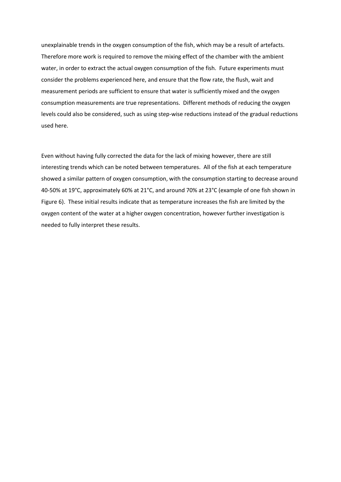unexplainable trends in the oxygen consumption of the fish, which may be a result of artefacts. Therefore more work is required to remove the mixing effect of the chamber with the ambient water, in order to extract the actual oxygen consumption of the fish. Future experiments must consider the problems experienced here, and ensure that the flow rate, the flush, wait and measurement periods are sufficient to ensure that water is sufficiently mixed and the oxygen consumption measurements are true representations. Different methods of reducing the oxygen levels could also be considered, such as using step-wise reductions instead of the gradual reductions used here.

Even without having fully corrected the data for the lack of mixing however, there are still interesting trends which can be noted between temperatures. All of the fish at each temperature showed a similar pattern of oxygen consumption, with the consumption starting to decrease around 40-50% at 19°C, approximately 60% at 21°C, and around 70% at 23°C (example of one fish shown in Figure 6). These initial results indicate that as temperature increases the fish are limited by the oxygen content of the water at a higher oxygen concentration, however further investigation is needed to fully interpret these results.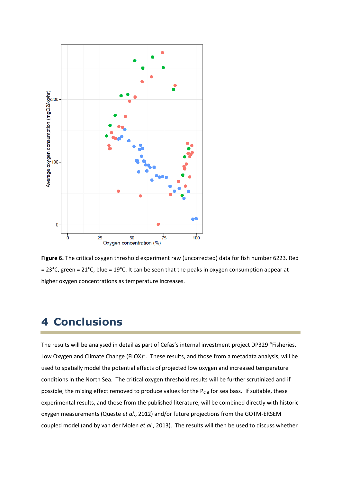

**Figure 6.** The critical oxygen threshold experiment raw (uncorrected) data for fish number 6223. Red  $= 23^{\circ}$ C, green = 21 $^{\circ}$ C, blue = 19 $^{\circ}$ C. It can be seen that the peaks in oxygen consumption appear at higher oxygen concentrations as temperature increases.

## **4 Conclusions**

The results will be analysed in detail as part of Cefas's internal investment project DP329 "Fisheries, Low Oxygen and Climate Change (FLOX)". These results, and those from a metadata analysis, will be used to spatially model the potential effects of projected low oxygen and increased temperature conditions in the North Sea. The critical oxygen threshold results will be further scrutinized and if possible, the mixing effect removed to produce values for the  $P_{\text{Crit}}$  for sea bass. If suitable, these experimental results, and those from the published literature, will be combined directly with historic oxygen measurements (Queste *et al*., 2012) and/or future projections from the GOTM-ERSEM coupled model (and by van der Molen *et al.,* 2013). The results will then be used to discuss whether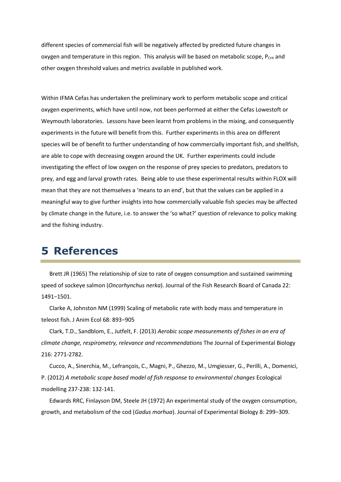different species of commercial fish will be negatively affected by predicted future changes in oxygen and temperature in this region. This analysis will be based on metabolic scope, P<sub>Crit</sub> and other oxygen threshold values and metrics available in published work.

Within IFMA Cefas has undertaken the preliminary work to perform metabolic scope and critical oxygen experiments, which have until now, not been performed at either the Cefas Lowestoft or Weymouth laboratories. Lessons have been learnt from problems in the mixing, and consequently experiments in the future will benefit from this. Further experiments in this area on different species will be of benefit to further understanding of how commercially important fish, and shellfish, are able to cope with decreasing oxygen around the UK. Further experiments could include investigating the effect of low oxygen on the response of prey species to predators, predators to prey, and egg and larval growth rates. Being able to use these experimental results within FLOX will mean that they are not themselves a 'means to an end', but that the values can be applied in a meaningful way to give further insights into how commercially valuable fish species may be affected by climate change in the future, i.e. to answer the 'so what?' question of relevance to policy making and the fishing industry.

### **5 References**

Brett JR (1965) The relationship of size to rate of oxygen consumption and sustained swimming speed of sockeye salmon (*Oncorhynchus nerka*). Journal of the Fish Research Board of Canada 22: 1491−1501.

Clarke A, Johnston NM (1999) Scaling of metabolic rate with body mass and temperature in teleost fish. J Anim Ecol 68: 893−905

Clark, T.D., Sandblom, E., Jutfelt, F. (2013) *Aerobic scope measurements of fishes in an era of climate change, respirometry, relevance and recommendations* The Journal of Experimental Biology 216: 2771-2782.

Cucco, A., Sinerchia, M., Lefrançois, C., Magni, P., Ghezzo, M., Umgiesser, G., Perilli, A., Domenici, P. (2012) *A metabolic scope based model of fish response to environmental changes* Ecological modelling 237-238: 132-141.

Edwards RRC, Finlayson DM, Steele JH (1972) An experimental study of the oxygen consumption, growth, and metabolism of the cod (*Gadus morhua*). Journal of Experimental Biology 8: 299−309.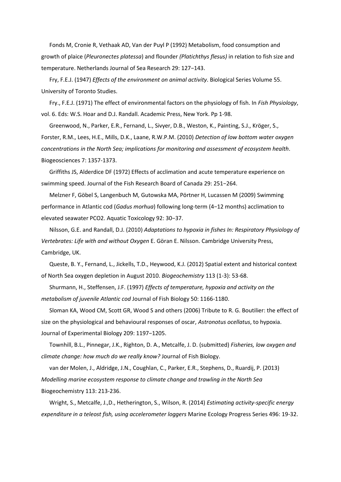Fonds M, Cronie R, Vethaak AD, Van der Puyl P (1992) Metabolism, food consumption and growth of plaice (*Pleuronectes platessa*) and flounder *(Platichthys flesus)* in relation to fish size and temperature. Netherlands Journal of Sea Research 29: 127−143.

Fry, F.E.J. (1947) *Effects of the environment on animal activity*. Biological Series Volume 55. University of Toronto Studies.

Fry., F.E.J. (1971) The effect of environmental factors on the physiology of fish. In *Fish Physiology*, vol. 6. Eds: W.S. Hoar and D.J. Randall. Academic Press, New York. Pp 1-98.

Greenwood, N., Parker, E.R., Fernand, L., Sivyer, D.B., Weston, K., Painting, S.J., Kröger, S., Forster, R.M., Lees, H.E., Mills, D.K., Laane, R.W.P.M. (2010) *Detection of low bottom water oxygen concentrations in the North Sea; implications for monitoring and assessment of ecosystem health*. Biogeosciences 7: 1357-1373.

Griffiths JS, Alderdice DF (1972) Effects of acclimation and acute temperature experience on swimming speed. Journal of the Fish Research Board of Canada 29: 251−264.

Melzner F, Göbel S, Langenbuch M, Gutowska MA, Pörtner H, Lucassen M (2009) Swimming performance in Atlantic cod (*Gadus morhua*) following long-term (4−12 months) acclimation to elevated seawater PCO2. Aquatic Toxicology 92: 30−37.

Nilsson, G.E. and Randall, D.J. (2010) *Adaptations to hypoxia in fishes In: Respiratory Physiology of Vertebrates: Life with and without Oxygen* E. Göran E. Nilsson. Cambridge University Press, Cambridge, UK.

Queste, B. Y., Fernand, L., Jickells, T.D., Heywood, K.J. (2012) Spatial extent and historical context of North Sea oxygen depletion in August 2010. *Biogeochemistry* 113 (1-3): 53-68.

Shurmann, H., Steffensen, J.F. (1997) *Effects of temperature, hypoxia and activity on the metabolism of juvenile Atlantic cod* Journal of Fish Biology 50: 1166-1180.

Sloman KA, Wood CM, Scott GR, Wood S and others (2006) Tribute to R. G. Boutilier: the effect of size on the physiological and behavioural responses of oscar, *Astronotus ocellatus*, to hypoxia. Journal of Experimental Biology 209: 1197−1205.

Townhill, B.L., Pinnegar, J.K., Righton, D. A., Metcalfe, J. D. (submitted) *Fisheries, low oxygen and climate change: how much do we really know?* Journal of Fish Biology.

van der Molen, J., Aldridge, J.N., Coughlan, C., Parker, E.R., Stephens, D., Ruardij, P. (2013) *Modelling marine ecosystem response to climate change and trawling in the North Sea* Biogeochemistry 113: 213-236.

Wright, S., Metcalfe, J.,D., Hetherington, S., Wilson, R. (2014) *Estimating activity-specific energy expenditure in a teleost fish, using accelerometer loggers* Marine Ecology Progress Series 496: 19-32.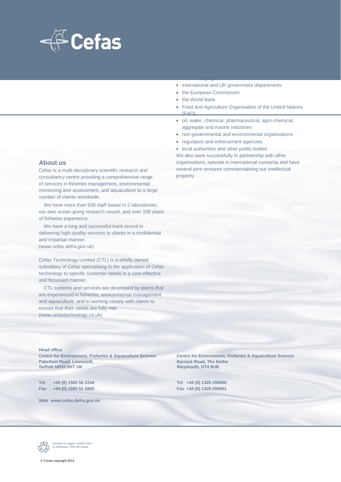

• international and UK government departments

with wide ranging interests. Clients interests. Clients in

- the European Commission
- the World Bank
- Food and Agriculture Organisation of the United Nations (FAO)
- oil, water, chemical, pharmaceutical, agro-chemical, aggregate and marine industries
- non-governmental and environmental organisations
- regulators and enforcement agencies
- local authorities and other public bodies

We also work successfully in partnership with other organisations, operate in international consortia and have several joint ventures commercialising our intellectual property

#### **About us**

Cefas is a multi-disciplinary scientific research and consultancy centre providing a comprehensive range of services in fisheries management, environmental monitoring and assessment, and aquaculture to a large number of clients worldwide.

We have more than 500 staff based in 2 laboratories, our own ocean-going research vessel, and over 100 years of fisheries experience.

We have a long and successful track record in delivering high-quality services to clients in a confidential and impartial manner. (www.cefas.defra.gov.uk)

Cefas Technology Limited (CTL) is a wholly owned subsidiary of Cefas specialising in the application of Cefas technology to specific customer needs in a cost-effective and focussed manner.

CTL systems and services are developed by teams that are experienced in fisheries, environmental management and aquaculture, and in working closely with clients to ensure that their needs are fully met. (www.cefastechnology.co.uk)

#### **Head office**

.

**Centre for Environment, Fisheries & Aquaculture Science Centre for Environment, Fisheries & Aquaculture Science Pakefield Road, Lowestoft, Samuel Barrack Road, The Nother Suffolk NR33 0HT UK and All Package Control of the Nother Suffolk NR33 0HT UK** 

**Tel +44 (0) 1502 56 2244 Tel +44 (0) 1305 206600 Fax +44 (0) 1502 51 3865 Fax +44 (0) 1305 206601**

**Web www.cefas.defra.gov.uk**

**Weymouth, DT4 8UB** 



printed on paper made from a minimum 75% de-inked

© Crown copyright 2014